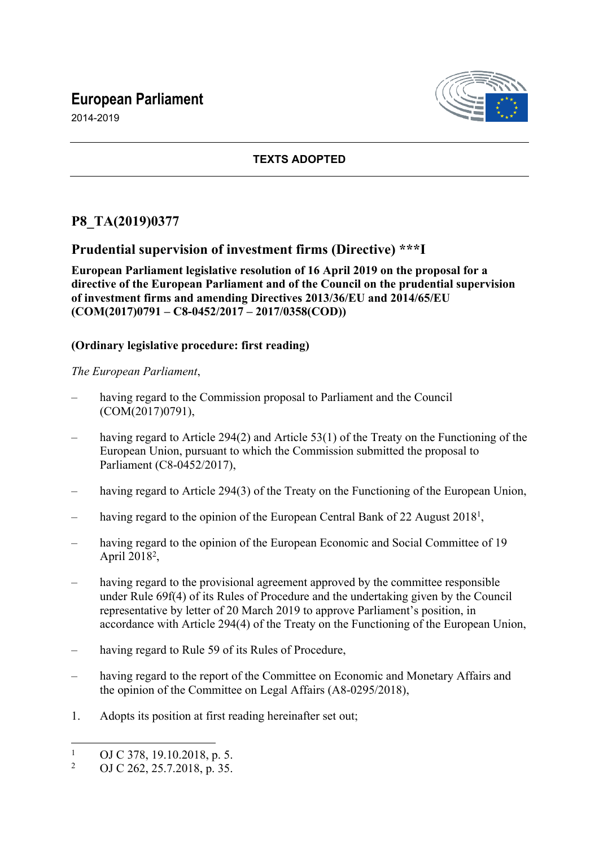# **European Parliament**

2014-2019



### **TEXTS ADOPTED**

## **P8\_TA(2019)0377**

### **Prudential supervision of investment firms (Directive) \*\*\*I**

**European Parliament legislative resolution of 16 April 2019 on the proposal for a directive of the European Parliament and of the Council on the prudential supervision of investment firms and amending Directives 2013/36/EU and 2014/65/EU (COM(2017)0791 – C8-0452/2017 – 2017/0358(COD))**

#### **(Ordinary legislative procedure: first reading)**

*The European Parliament*,

- having regard to the Commission proposal to Parliament and the Council (COM(2017)0791),
- having regard to Article 294(2) and Article 53(1) of the Treaty on the Functioning of the European Union, pursuant to which the Commission submitted the proposal to Parliament (C8-0452/2017),
- having regard to Article 294(3) of the Treaty on the Functioning of the European Union,
- having regard to the opinion of the European Central Bank of 22 August 2018<sup>1</sup>,
- having regard to the opinion of the European Economic and Social Committee of 19 April 2018<sup>2</sup>,
- having regard to the provisional agreement approved by the committee responsible under Rule 69f(4) of its Rules of Procedure and the undertaking given by the Council representative by letter of 20 March 2019 to approve Parliament's position, in accordance with Article 294(4) of the Treaty on the Functioning of the European Union,
- having regard to Rule 59 of its Rules of Procedure,
- having regard to the report of the Committee on Economic and Monetary Affairs and the opinion of the Committee on Legal Affairs (A8-0295/2018),
- 1. Adopts its position at first reading hereinafter set out;

<sup>1</sup> OJ C 378, 19.10.2018, p. 5.

<sup>2</sup> OJ C 262, 25.7.2018, p. 35.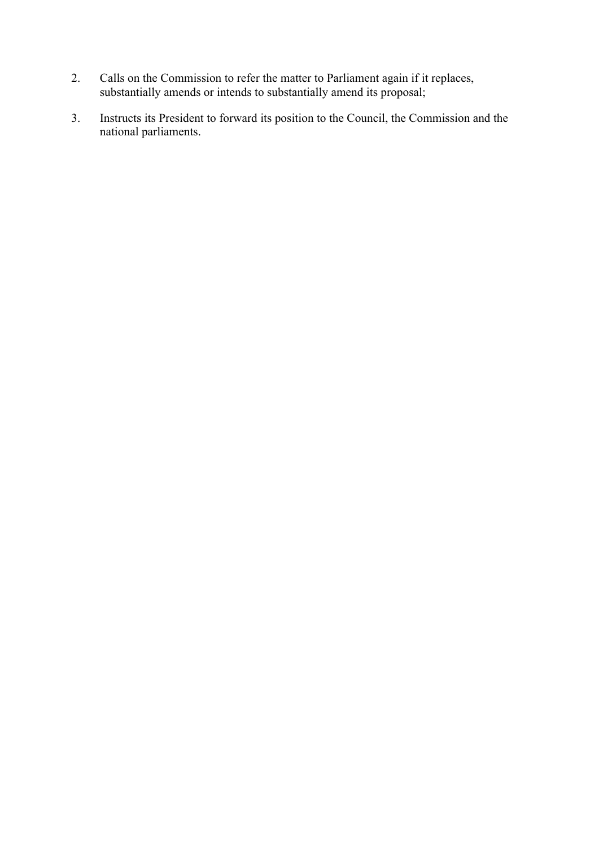- 2. Calls on the Commission to refer the matter to Parliament again if it replaces, substantially amends or intends to substantially amend its proposal;
- 3. Instructs its President to forward its position to the Council, the Commission and the national parliaments.